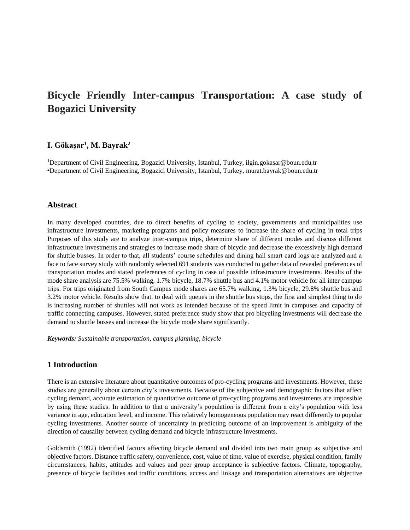# **Bicycle Friendly Inter-campus Transportation: A case study of Bogazici University**

# **I. Gökaşar<sup>1</sup> , M. Bayrak<sup>2</sup>**

<sup>1</sup>Department of Civil Engineering, Bogazici University, Istanbul, Turkey, ilgin.gokasar@boun.edu.tr <sup>2</sup>Department of Civil Engineering, Bogazici University, Istanbul, Turkey, murat.bayrak@boun.edu.tr

#### **Abstract**

In many developed countries, due to direct benefits of cycling to society, governments and municipalities use infrastructure investments, marketing programs and policy measures to increase the share of cycling in total trips Purposes of this study are to analyze inter-campus trips, determine share of different modes and discuss different infrastructure investments and strategies to increase mode share of bicycle and decrease the excessively high demand for shuttle busses. In order to that, all students' course schedules and dining hall smart card logs are analyzed and a face to face survey study with randomly selected 691 students was conducted to gather data of revealed preferences of transportation modes and stated preferences of cycling in case of possible infrastructure investments. Results of the mode share analysis are 75.5% walking, 1.7% bicycle, 18.7% shuttle bus and 4.1% motor vehicle for all inter campus trips. For trips originated from South Campus mode shares are 65.7% walking, 1.3% bicycle, 29.8% shuttle bus and 3.2% motor vehicle. Results show that, to deal with queues in the shuttle bus stops, the first and simplest thing to do is increasing number of shuttles will not work as intended because of the speed limit in campuses and capacity of traffic connecting campuses. However, stated preference study show that pro bicycling investments will decrease the demand to shuttle busses and increase the bicycle mode share significantly.

*Keywords: Sustainable transportation, campus planning, bicycle*

#### **1 Introduction**

There is an extensive literature about quantitative outcomes of pro-cycling programs and investments. However, these studies are generally about certain city's investments. Because of the subjective and demographic factors that affect cycling demand, accurate estimation of quantitative outcome of pro-cycling programs and investments are impossible by using these studies. In addition to that a university's population is different from a city's population with less variance in age, education level, and income. This relatively homogeneous population may react differently to popular cycling investments. Another source of uncertainty in predicting outcome of an improvement is ambiguity of the direction of causality between cycling demand and bicycle infrastructure investments.

Goldsmith (1992) identified factors affecting bicycle demand and divided into two main group as subjective and objective factors. Distance traffic safety, convenience, cost, value of time, value of exercise, physical condition, family circumstances, habits, attitudes and values and peer group acceptance is subjective factors. Climate, topography, presence of bicycle facilities and traffic conditions, access and linkage and transportation alternatives are objective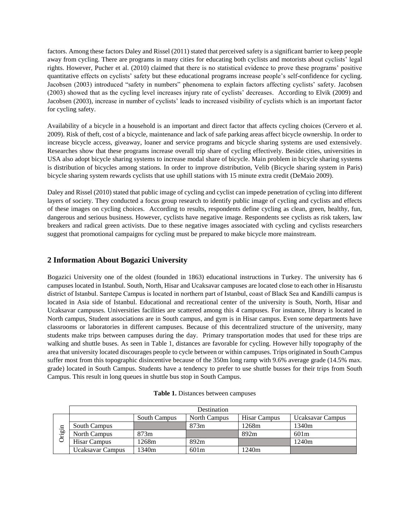factors. Among these factors Daley and Rissel (2011) stated that perceived safety is a significant barrier to keep people away from cycling. There are programs in many cities for educating both cyclists and motorists about cyclists' legal rights. However, Pucher et al. (2010) claimed that there is no statistical evidence to prove these programs' positive quantitative effects on cyclists' safety but these educational programs increase people's self-confidence for cycling. Jacobsen (2003) introduced "safety in numbers" phenomena to explain factors affecting cyclists' safety. Jacobsen (2003) showed that as the cycling level increases injury rate of cyclists' decreases. According to Elvik (2009) and Jacobsen (2003), increase in number of cyclists' leads to increased visibility of cyclists which is an important factor for cycling safety.

Availability of a bicycle in a household is an important and direct factor that affects cycling choices (Cervero et al. 2009). Risk of theft, cost of a bicycle, maintenance and lack of safe parking areas affect bicycle ownership. In order to increase bicycle access, giveaway, loaner and service programs and bicycle sharing systems are used extensively. Researches show that these programs increase overall trip share of cycling effectively. Beside cities, universities in USA also adopt bicycle sharing systems to increase modal share of bicycle. Main problem in bicycle sharing systems is distribution of bicycles among stations. In order to improve distribution, Velib (Bicycle sharing system in Paris) bicycle sharing system rewards cyclists that use uphill stations with 15 minute extra credit (DeMaio 2009).

Daley and Rissel (2010) stated that public image of cycling and cyclist can impede penetration of cycling into different layers of society. They conducted a focus group research to identify public image of cycling and cyclists and effects of these images on cycling choices. According to results, respondents define cycling as clean, green, healthy, fun, dangerous and serious business. However, cyclists have negative image. Respondents see cyclists as risk takers, law breakers and radical green activists. Due to these negative images associated with cycling and cyclists researchers suggest that promotional campaigns for cycling must be prepared to make bicycle more mainstream.

## **2 Information About Bogazici University**

Bogazici University one of the oldest (founded in 1863) educational instructions in Turkey. The university has 6 campuses located in Istanbul. South, North, Hisar and Ucaksavar campuses are located close to each other in Hisarustu district of Istanbul. Sarıtepe Campus is located in northern part of Istanbul, coast of Black Sea and Kandilli campus is located in Asia side of Istanbul. Educational and recreational center of the university is South, North, Hisar and Ucaksavar campuses. Universities facilities are scattered among this 4 campuses. For instance, library is located in North campus, Student associations are in South campus, and gym is in Hisar campus. Even some departments have classrooms or laboratories in different campuses. Because of this decentralized structure of the university, many students make trips between campuses during the day. Primary transportation modes that used for these trips are walking and shuttle buses. As seen in Table 1, distances are favorable for cycling. However hilly topography of the area that university located discourages people to cycle between or within campuses. Trips originated in South Campus suffer most from this topographic disincentive because of the 350m long ramp with 9.6% average grade (14.5% max. grade) located in South Campus. Students have a tendency to prefer to use shuttle busses for their trips from South Campus. This result in long queues in shuttle bus stop in South Campus.

| Table 1. Distances between campuses |  |
|-------------------------------------|--|
|-------------------------------------|--|

|                                           | Destination             |              |                     |              |                   |  |
|-------------------------------------------|-------------------------|--------------|---------------------|--------------|-------------------|--|
| Ξ<br>. ஜ<br>$\overline{\phantom{0}}$<br>C |                         | South Campus | <b>North Campus</b> | Hisar Campus | Ucaksavar Campus  |  |
|                                           | South Campus            |              | 873m                | 1268m        | 1340 <sub>m</sub> |  |
|                                           | <b>North Campus</b>     | 873m         |                     | 892m         | 601m              |  |
|                                           | <b>Hisar Campus</b>     | 1268m        | 892m                |              | 1240m             |  |
|                                           | <b>Ucaksavar Campus</b> | 1340m        | 601m                | 1240m        |                   |  |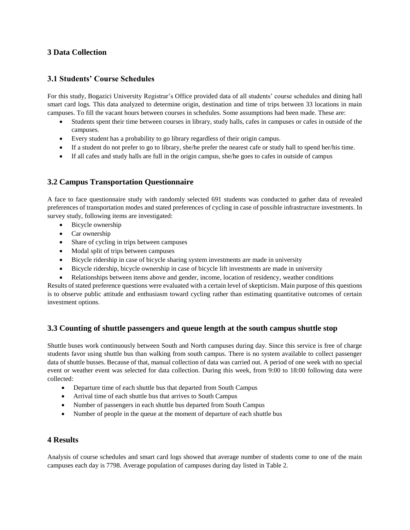## **3 Data Collection**

# **3.1 Students' Course Schedules**

For this study, Bogazici University Registrar's Office provided data of all students' course schedules and dining hall smart card logs. This data analyzed to determine origin, destination and time of trips between 33 locations in main campuses. To fill the vacant hours between courses in schedules. Some assumptions had been made. These are:

- Students spent their time between courses in library, study halls, cafes in campuses or cafes in outside of the campuses.
- Every student has a probability to go library regardless of their origin campus.
- If a student do not prefer to go to library, she/he prefer the nearest cafe or study hall to spend her/his time.
- If all cafes and study halls are full in the origin campus, she/he goes to cafes in outside of campus

# **3.2 Campus Transportation Questionnaire**

A face to face questionnaire study with randomly selected 691 students was conducted to gather data of revealed preferences of transportation modes and stated preferences of cycling in case of possible infrastructure investments. In survey study, following items are investigated:

- Bicycle ownership
- Car ownership
- Share of cycling in trips between campuses
- Modal split of trips between campuses
- Bicycle ridership in case of bicycle sharing system investments are made in university
- Bicycle ridership, bicycle ownership in case of bicycle lift investments are made in university
- Relationships between items above and gender, income, location of residency, weather conditions

Results of stated preference questions were evaluated with a certain level of skepticism. Main purpose of this questions is to observe public attitude and enthusiasm toward cycling rather than estimating quantitative outcomes of certain investment options.

## **3.3 Counting of shuttle passengers and queue length at the south campus shuttle stop**

Shuttle buses work continuously between South and North campuses during day. Since this service is free of charge students favor using shuttle bus than walking from south campus. There is no system available to collect passenger data of shuttle busses. Because of that, manual collection of data was carried out. A period of one week with no special event or weather event was selected for data collection. During this week, from 9:00 to 18:00 following data were collected:

- Departure time of each shuttle bus that departed from South Campus
- Arrival time of each shuttle bus that arrives to South Campus
- Number of passengers in each shuttle bus departed from South Campus
- Number of people in the queue at the moment of departure of each shuttle bus

#### **4 Results**

Analysis of course schedules and smart card logs showed that average number of students come to one of the main campuses each day is 7798. Average population of campuses during day listed in Table 2.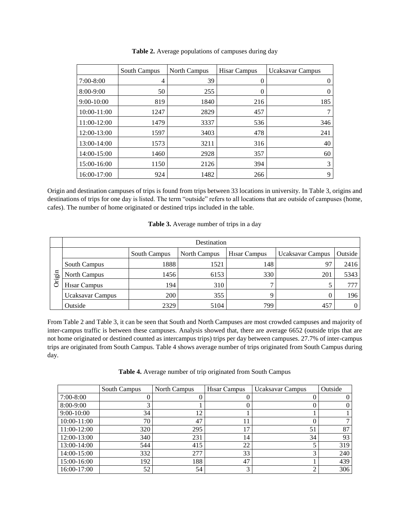|                 | South Campus | North Campus | <b>Hisar Campus</b> | <b>Ucaksavar Campus</b> |
|-----------------|--------------|--------------|---------------------|-------------------------|
| $7:00-8:00$     | 4            | 39           | $\left($            | $\theta$                |
| 8:00-9:00       | 50           | 255          | $\theta$            | $\theta$                |
| $9:00-10:00$    | 819          | 1840         | 216                 | 185                     |
| $10:00 - 11:00$ | 1247         | 2829         | 457                 | 7                       |
| 11:00-12:00     | 1479         | 3337         | 536                 | 346                     |
| 12:00-13:00     | 1597         | 3403         | 478                 | 241                     |
| 13:00-14:00     | 1573         | 3211         | 316                 | 40                      |
| 14:00-15:00     | 1460         | 2928         | 357                 | 60                      |
| 15:00-16:00     | 1150         | 2126         | 394                 | 3                       |
| 16:00-17:00     | 924          | 1482         | 266                 | 9                       |

**Table 2.** Average populations of campuses during day

Origin and destination campuses of trips is found from trips between 33 locations in university. In Table 3, origins and destinations of trips for one day is listed. The term "outside" refers to all locations that are outside of campuses (home, cafes). The number of home originated or destined trips included in the table.

| Table 3. Average number of trips in a day |  |  |  |
|-------------------------------------------|--|--|--|
|-------------------------------------------|--|--|--|

|    | Destination             |              |              |              |                         |          |  |
|----|-------------------------|--------------|--------------|--------------|-------------------------|----------|--|
|    |                         | South Campus | North Campus | Hisar Campus | <b>Ucaksavar Campus</b> | Outside  |  |
|    | South Campus            | 1888         | 1521         | 148          | 97                      | 2416     |  |
| 品. | <b>North Campus</b>     | 1456         | 6153         | 330          | 201                     | 5343     |  |
| Ġ  | <b>Hisar Campus</b>     | 194          | 310          |              |                         | 777      |  |
|    | <b>Ucaksavar Campus</b> | <b>200</b>   | 355          |              |                         | 196      |  |
|    | Outside                 | 2329         | 5104         | 799          | 457                     | $\Omega$ |  |

From Table 2 and Table 3, it can be seen that South and North Campuses are most crowded campuses and majority of inter-campus traffic is between these campuses. Analysis showed that, there are average 6652 (outside trips that are not home originated or destined counted as intercampus trips) trips per day between campuses. 27.7% of inter-campus trips are originated from South Campus. Table 4 shows average number of trips originated from South Campus during day.

|  |  |  | Table 4. Average number of trip originated from South Campus |
|--|--|--|--------------------------------------------------------------|
|--|--|--|--------------------------------------------------------------|

|              | South Campus | North Campus | Hisar Campus | <b>Ucaksavar Campus</b> | Outside  |
|--------------|--------------|--------------|--------------|-------------------------|----------|
| $7:00-8:00$  |              |              |              |                         |          |
| $8:00-9:00$  |              |              |              |                         | $\Omega$ |
| $9:00-10:00$ | 34           | 12           |              |                         |          |
| 10:00-11:00  | 70           | 47           | 11           |                         |          |
| 11:00-12:00  | 320          | 295          | 17           | 51                      | 87       |
| 12:00-13:00  | 340          | 231          | 14           | 34                      | 93       |
| 13:00-14:00  | 544          | 415          | 22           |                         | 319      |
| 14:00-15:00  | 332          | 277          | 33           | ⌒                       | 240      |
| 15:00-16:00  | 192          | 188          | 47           |                         | 439      |
| 16:00-17:00  | 52           | 54           | 3            |                         | 306      |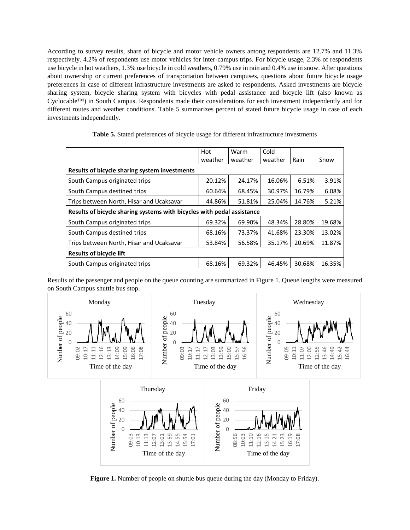According to survey results, share of bicycle and motor vehicle owners among respondents are 12.7% and 11.3% respectively. 4.2% of respondents use motor vehicles for inter-campus trips. For bicycle usage, 2.3% of respondents use bicycle in hot weathers, 1.3% use bicycle in cold weathers, 0.79% use in rain and 0.4% use in snow. After questions about ownership or current preferences of transportation between campuses, questions about future bicycle usage preferences in case of different infrastructure investments are asked to respondents. Asked investments are bicycle sharing system, bicycle sharing system with bicycles with pedal assistance and bicycle lift (also known as Cyclocable™) in South Campus. Respondents made their considerations for each investment independently and for different routes and weather conditions. Table 5 summarizes percent of stated future bicycle usage in case of each investments independently.

|                                                                        | Hot     | Warm    | Cold    |        |        |
|------------------------------------------------------------------------|---------|---------|---------|--------|--------|
|                                                                        | weather | weather | weather | Rain   | Snow   |
| Results of bicycle sharing system investments                          |         |         |         |        |        |
| South Campus originated trips                                          | 20.12%  | 24.17%  | 16.06%  | 6.51%  | 3.91%  |
| South Campus destined trips                                            | 60.64%  | 68.45%  | 30.97%  | 16.79% | 6.08%  |
| Trips between North, Hisar and Ucaksavar                               | 44.86%  | 51.81%  | 25.04%  | 14.76% | 5.21%  |
| Results of bicycle sharing systems with bicycles with pedal assistance |         |         |         |        |        |
| South Campus originated trips                                          | 69.32%  | 69.90%  | 48.34%  | 28.80% | 19.68% |
| South Campus destined trips                                            | 68.16%  | 73.37%  | 41.68%  | 23.30% | 13.02% |
| Trips between North, Hisar and Ucaksavar                               | 53.84%  | 56.58%  | 35.17%  | 20.69% | 11.87% |
| <b>Results of bicycle lift</b>                                         |         |         |         |        |        |
| South Campus originated trips                                          | 68.16%  | 69.32%  | 46.45%  | 30.68% | 16.35% |

**Table 5.** Stated preferences of bicycle usage for different infrastructure investments

Results of the passenger and people on the queue counting are summarized in Figure 1. Queue lengths were measured on South Campus shuttle bus stop.



**Figure 1.** Number of people on shuttle bus queue during the day (Monday to Friday).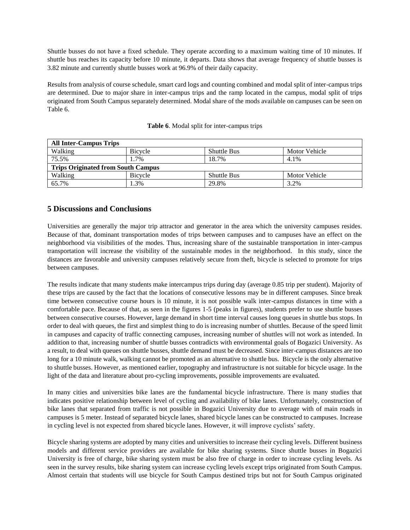Shuttle busses do not have a fixed schedule. They operate according to a maximum waiting time of 10 minutes. If shuttle bus reaches its capacity before 10 minute, it departs. Data shows that average frequency of shuttle busses is 3.82 minute and currently shuttle busses work at 96.9% of their daily capacity.

Results from analysis of course schedule, smart card logs and counting combined and modal split of inter-campus trips are determined. Due to major share in inter-campus trips and the ramp located in the campus, modal split of trips originated from South Campus separately determined. Modal share of the mods available on campuses can be seen on Table 6.

| <b>All Inter-Campus Trips</b>             |         |                    |               |  |  |
|-------------------------------------------|---------|--------------------|---------------|--|--|
| Walking                                   | Bicycle | <b>Shuttle Bus</b> | Motor Vehicle |  |  |
| 75.5%                                     | 1.7%    | 18.7%              | 4.1%          |  |  |
| <b>Trips Originated from South Campus</b> |         |                    |               |  |  |
| Walking                                   | Bicycle | <b>Shuttle Bus</b> | Motor Vehicle |  |  |
| 65.7%                                     | 1.3%    | 29.8%              | 3.2%          |  |  |

#### **Table 6**. Modal split for inter-campus trips

## **5 Discussions and Conclusions**

Universities are generally the major trip attractor and generator in the area which the university campuses resides. Because of that, dominant transportation modes of trips between campuses and to campuses have an effect on the neighborhood via visibilities of the modes. Thus, increasing share of the sustainable transportation in inter-campus transportation will increase the visibility of the sustainable modes in the neighborhood. In this study, since the distances are favorable and university campuses relatively secure from theft, bicycle is selected to promote for trips between campuses.

The results indicate that many students make intercampus trips during day (average 0.85 trip per student). Majority of these trips are caused by the fact that the locations of consecutive lessons may be in different campuses. Since break time between consecutive course hours is 10 minute, it is not possible walk inter-campus distances in time with a comfortable pace. Because of that, as seen in the figures 1-5 (peaks in figures), students prefer to use shuttle busses between consecutive courses. However, large demand in short time interval causes long queues in shuttle bus stops. In order to deal with queues, the first and simplest thing to do is increasing number of shuttles. Because of the speed limit in campuses and capacity of traffic connecting campuses, increasing number of shuttles will not work as intended. In addition to that, increasing number of shuttle busses contradicts with environmental goals of Bogazici University. As a result, to deal with queues on shuttle busses, shuttle demand must be decreased. Since inter-campus distances are too long for a 10 minute walk, walking cannot be promoted as an alternative to shuttle bus. Bicycle is the only alternative to shuttle busses. However, as mentioned earlier, topography and infrastructure is not suitable for bicycle usage. In the light of the data and literature about pro-cycling improvements, possible improvements are evaluated.

In many cities and universities bike lanes are the fundamental bicycle infrastructure. There is many studies that indicates positive relationship between level of cycling and availability of bike lanes. Unfortunately, construction of bike lanes that separated from traffic is not possible in Bogazici University due to average with of main roads in campuses is 5 meter. Instead of separated bicycle lanes, shared bicycle lanes can be constructed to campuses. Increase in cycling level is not expected from shared bicycle lanes. However, it will improve cyclists' safety.

Bicycle sharing systems are adopted by many cities and universities to increase their cycling levels. Different business models and different service providers are available for bike sharing systems. Since shuttle busses in Bogazici University is free of charge, bike sharing system must be also free of charge in order to increase cycling levels. As seen in the survey results, bike sharing system can increase cycling levels except trips originated from South Campus. Almost certain that students will use bicycle for South Campus destined trips but not for South Campus originated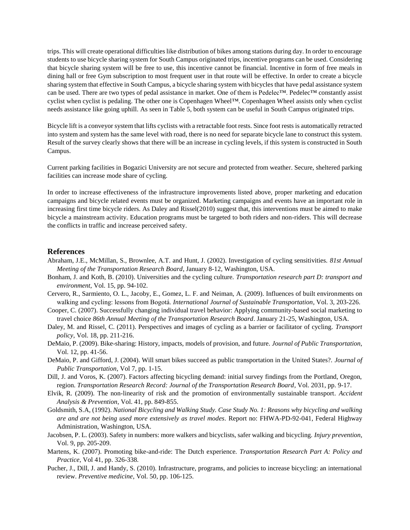trips. This will create operational difficulties like distribution of bikes among stations during day. In order to encourage students to use bicycle sharing system for South Campus originated trips, incentive programs can be used. Considering that bicycle sharing system will be free to use, this incentive cannot be financial. Incentive in form of free meals in dining hall or free Gym subscription to most frequent user in that route will be effective. In order to create a bicycle sharing system that effective in South Campus, a bicycle sharing system with bicycles that have pedal assistance system can be used. There are two types of pedal assistance in market. One of them is Pedelec™. Pedelec™ constantly assist cyclist when cyclist is pedaling. The other one is Copenhagen Wheel™. Copenhagen Wheel assists only when cyclist needs assistance like going uphill. As seen in Table 5, both system can be useful in South Campus originated trips.

Bicycle lift is a conveyor system that lifts cyclists with a retractable foot rests. Since foot rests is automatically retracted into system and system has the same level with road, there is no need for separate bicycle lane to construct this system. Result of the survey clearly shows that there will be an increase in cycling levels, if this system is constructed in South Campus.

Current parking facilities in Bogazici University are not secure and protected from weather. Secure, sheltered parking facilities can increase mode share of cycling.

In order to increase effectiveness of the infrastructure improvements listed above, proper marketing and education campaigns and bicycle related events must be organized. Marketing campaigns and events have an important role in increasing first time bicycle riders. As Daley and Rissel(2010) suggest that, this interventions must be aimed to make bicycle a mainstream activity. Education programs must be targeted to both riders and non-riders. This will decrease the conflicts in traffic and increase perceived safety.

#### **References**

- Abraham, J.E., McMillan, S., Brownlee, A.T. and Hunt, J. (2002). Investigation of cycling sensitivities. *81st Annual Meeting of the Transportation Research Board*, January 8-12, Washington, USA.
- Bonham, J. and Koth, B. (2010). Universities and the cycling culture. *Transportation research part D: transport and environment*, Vol. 15, pp. 94-102.
- Cervero, R., Sarmiento, O. L., Jacoby, E., Gomez, L. F. and Neiman, A. (2009). Influences of built environments on walking and cycling: lessons from Bogotá. *International Journal of Sustainable Transportation*, Vol. 3, 203-226.
- Cooper, C. (2007). Successfully changing individual travel behavior: Applying community-based social marketing to travel choice *86th Annual Meeting of the Transportation Research Board*. January 21-25, Washington, USA.
- Daley, M. and Rissel, C. (2011). Perspectives and images of cycling as a barrier or facilitator of cycling. *Transport policy*, Vol. 18, pp. 211-216.
- DeMaio, P. (2009). Bike-sharing: History, impacts, models of provision, and future. *Journal of Public Transportation*, Vol. 12, pp. 41-56.
- DeMaio, P. and Gifford, J. (2004). Will smart bikes succeed as public transportation in the United States?. *Journal of Public Transportation*, Vol 7, pp. 1-15.
- Dill, J. and Voros, K. (2007). Factors affecting bicycling demand: initial survey findings from the Portland, Oregon, region. *Transportation Research Record: Journal of the Transportation Research Board*, Vol. 2031, pp. 9-17.
- Elvik, R. (2009). The non-linearity of risk and the promotion of environmentally sustainable transport*. Accident Analysis & Prevention*, Vol. 41, pp. 849-855.
- Goldsmith, S.A, (1992). *National Bicycling and Walking Study. Case Study No. 1: Reasons why bicycling and walking are and are not being used more extensively as travel modes.* Report no: FHWA-PD-92-041, Federal Highway Administration, Washington, USA.
- Jacobsen, P. L. (2003). Safety in numbers: more walkers and bicyclists, safer walking and bicycling. *Injury prevention*, Vol. 9, pp. 205-209.
- Martens, K. (2007). Promoting bike-and-ride: The Dutch experience*. Transportation Research Part A: Policy and Practice*, Vol 41, pp. 326-338.
- Pucher, J., Dill, J. and Handy, S. (2010). Infrastructure, programs, and policies to increase bicycling: an international review. *Preventive medicine*, Vol. 50, pp. 106-125.